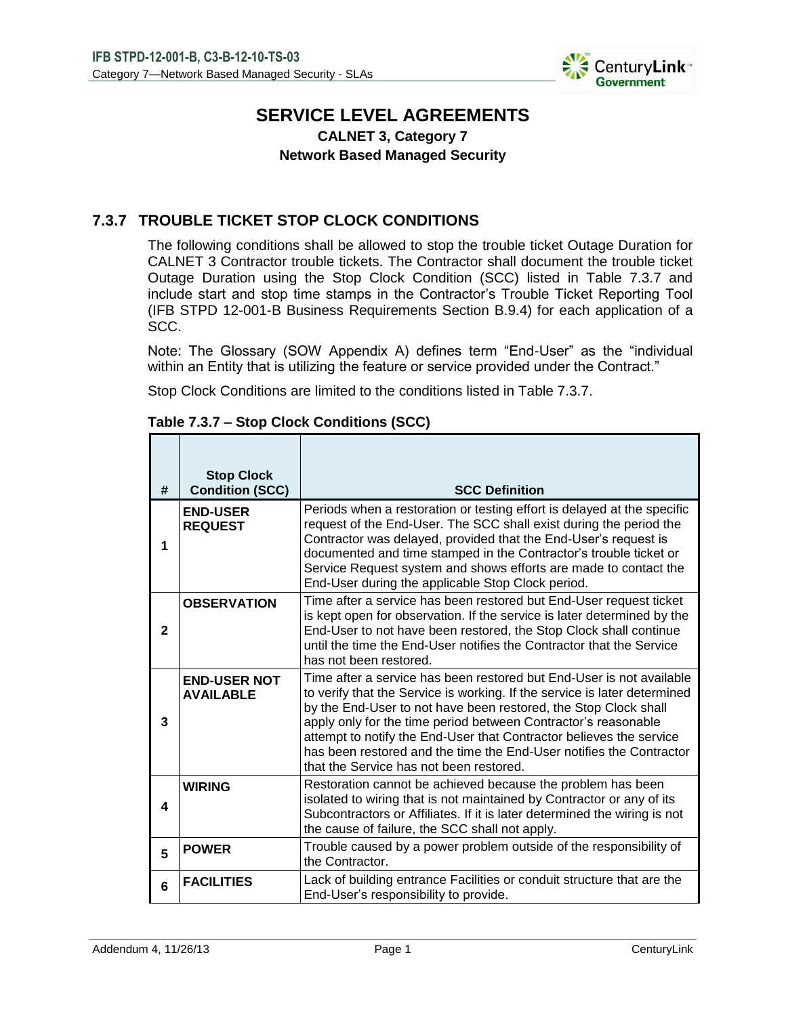

# **SERVICE LEVEL AGREEMENTS**

## **CALNET 3, Category 7 Network Based Managed Security**

## **7.3.7 TROUBLE TICKET STOP CLOCK CONDITIONS**

The following conditions shall be allowed to stop the trouble ticket Outage Duration for CALNET 3 Contractor trouble tickets. The Contractor shall document the trouble ticket Outage Duration using the Stop Clock Condition (SCC) listed in Table 7.3.7 and include start and stop time stamps in the Contractor's Trouble Ticket Reporting Tool (IFB STPD 12-001-B Business Requirements Section B.9.4) for each application of a SCC.

Note: The Glossary (SOW Appendix A) defines term "End-User" as the "individual within an Entity that is utilizing the feature or service provided under the Contract."

Stop Clock Conditions are limited to the conditions listed in Table 7.3.7.

| #            | <b>Stop Clock</b><br><b>Condition (SCC)</b> | <b>SCC Definition</b>                                                                                                                                                                                                                                                                                                                                                                                                                                                           |
|--------------|---------------------------------------------|---------------------------------------------------------------------------------------------------------------------------------------------------------------------------------------------------------------------------------------------------------------------------------------------------------------------------------------------------------------------------------------------------------------------------------------------------------------------------------|
| 1            | <b>END-USER</b><br><b>REQUEST</b>           | Periods when a restoration or testing effort is delayed at the specific<br>request of the End-User. The SCC shall exist during the period the<br>Contractor was delayed, provided that the End-User's request is<br>documented and time stamped in the Contractor's trouble ticket or<br>Service Request system and shows efforts are made to contact the<br>End-User during the applicable Stop Clock period.                                                                  |
| $\mathbf{2}$ | <b>OBSERVATION</b>                          | Time after a service has been restored but End-User request ticket<br>is kept open for observation. If the service is later determined by the<br>End-User to not have been restored, the Stop Clock shall continue<br>until the time the End-User notifies the Contractor that the Service<br>has not been restored.                                                                                                                                                            |
| 3            | <b>END-USER NOT</b><br><b>AVAILABLE</b>     | Time after a service has been restored but End-User is not available<br>to verify that the Service is working. If the service is later determined<br>by the End-User to not have been restored, the Stop Clock shall<br>apply only for the time period between Contractor's reasonable<br>attempt to notify the End-User that Contractor believes the service<br>has been restored and the time the End-User notifies the Contractor<br>that the Service has not been restored. |
| 4            | <b>WIRING</b>                               | Restoration cannot be achieved because the problem has been<br>isolated to wiring that is not maintained by Contractor or any of its<br>Subcontractors or Affiliates. If it is later determined the wiring is not<br>the cause of failure, the SCC shall not apply.                                                                                                                                                                                                             |
| 5            | <b>POWER</b>                                | Trouble caused by a power problem outside of the responsibility of<br>the Contractor.                                                                                                                                                                                                                                                                                                                                                                                           |
| 6            | <b>FACILITIES</b>                           | Lack of building entrance Facilities or conduit structure that are the<br>End-User's responsibility to provide.                                                                                                                                                                                                                                                                                                                                                                 |

### **Table 7.3.7 – Stop Clock Conditions (SCC)**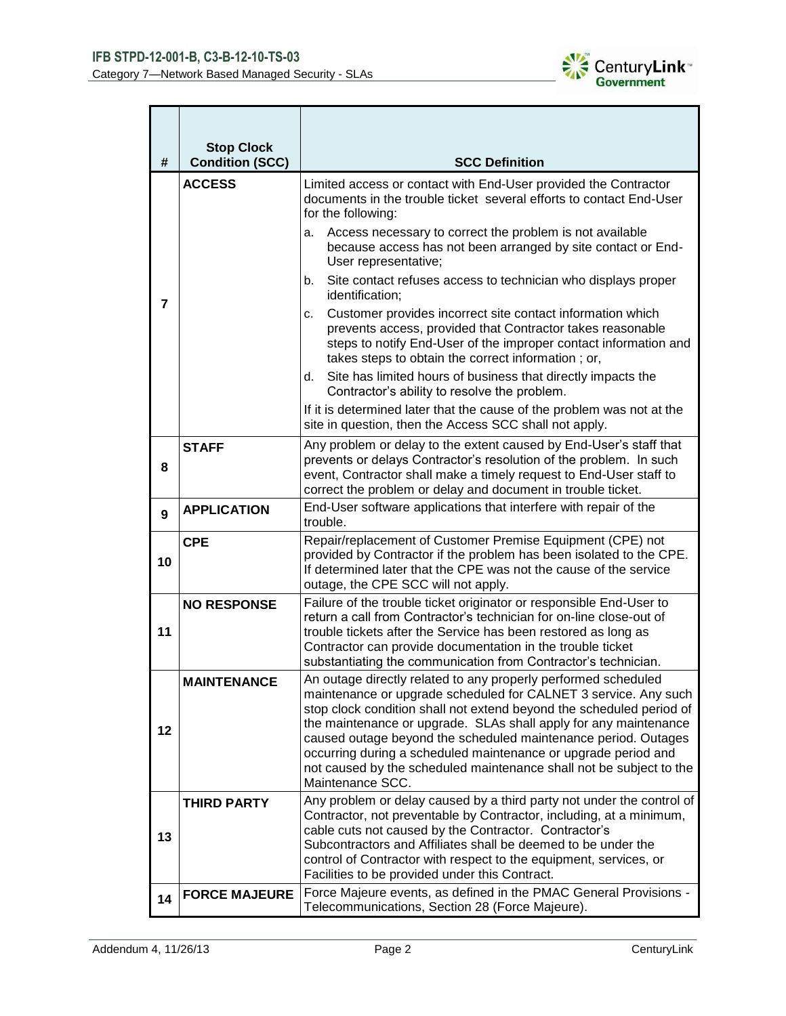

| #              | <b>Stop Clock</b><br><b>Condition (SCC)</b> | <b>SCC Definition</b>                                                                                                                                                                                                                                                                                                                                                                                                                                                                                        |  |  |  |
|----------------|---------------------------------------------|--------------------------------------------------------------------------------------------------------------------------------------------------------------------------------------------------------------------------------------------------------------------------------------------------------------------------------------------------------------------------------------------------------------------------------------------------------------------------------------------------------------|--|--|--|
|                | <b>ACCESS</b>                               | Limited access or contact with End-User provided the Contractor<br>documents in the trouble ticket several efforts to contact End-User<br>for the following:                                                                                                                                                                                                                                                                                                                                                 |  |  |  |
|                |                                             | Access necessary to correct the problem is not available<br>a.<br>because access has not been arranged by site contact or End-<br>User representative;                                                                                                                                                                                                                                                                                                                                                       |  |  |  |
|                |                                             | Site contact refuses access to technician who displays proper<br>b.<br>identification;                                                                                                                                                                                                                                                                                                                                                                                                                       |  |  |  |
| $\overline{7}$ |                                             | Customer provides incorrect site contact information which<br>c.<br>prevents access, provided that Contractor takes reasonable<br>steps to notify End-User of the improper contact information and<br>takes steps to obtain the correct information; or,                                                                                                                                                                                                                                                     |  |  |  |
|                |                                             | Site has limited hours of business that directly impacts the<br>d.<br>Contractor's ability to resolve the problem.                                                                                                                                                                                                                                                                                                                                                                                           |  |  |  |
|                |                                             | If it is determined later that the cause of the problem was not at the<br>site in question, then the Access SCC shall not apply.                                                                                                                                                                                                                                                                                                                                                                             |  |  |  |
| 8              | <b>STAFF</b>                                | Any problem or delay to the extent caused by End-User's staff that<br>prevents or delays Contractor's resolution of the problem. In such<br>event, Contractor shall make a timely request to End-User staff to<br>correct the problem or delay and document in trouble ticket.                                                                                                                                                                                                                               |  |  |  |
| 9              | <b>APPLICATION</b>                          | End-User software applications that interfere with repair of the<br>trouble.                                                                                                                                                                                                                                                                                                                                                                                                                                 |  |  |  |
| 10             | <b>CPE</b>                                  | Repair/replacement of Customer Premise Equipment (CPE) not<br>provided by Contractor if the problem has been isolated to the CPE.<br>If determined later that the CPE was not the cause of the service<br>outage, the CPE SCC will not apply.                                                                                                                                                                                                                                                                |  |  |  |
| 11             | <b>NO RESPONSE</b>                          | Failure of the trouble ticket originator or responsible End-User to<br>return a call from Contractor's technician for on-line close-out of<br>trouble tickets after the Service has been restored as long as<br>Contractor can provide documentation in the trouble ticket<br>substantiating the communication from Contractor's technician.                                                                                                                                                                 |  |  |  |
| 12             | MAINTENANCE                                 | An outage directly related to any properly performed scheduled<br>maintenance or upgrade scheduled for CALNET 3 service. Any such<br>stop clock condition shall not extend beyond the scheduled period of<br>the maintenance or upgrade. SLAs shall apply for any maintenance<br>caused outage beyond the scheduled maintenance period. Outages<br>occurring during a scheduled maintenance or upgrade period and<br>not caused by the scheduled maintenance shall not be subject to the<br>Maintenance SCC. |  |  |  |
| 13             | <b>THIRD PARTY</b>                          | Any problem or delay caused by a third party not under the control of<br>Contractor, not preventable by Contractor, including, at a minimum,<br>cable cuts not caused by the Contractor. Contractor's<br>Subcontractors and Affiliates shall be deemed to be under the<br>control of Contractor with respect to the equipment, services, or<br>Facilities to be provided under this Contract.                                                                                                                |  |  |  |
| 14             | <b>FORCE MAJEURE</b>                        | Force Majeure events, as defined in the PMAC General Provisions -<br>Telecommunications, Section 28 (Force Majeure).                                                                                                                                                                                                                                                                                                                                                                                         |  |  |  |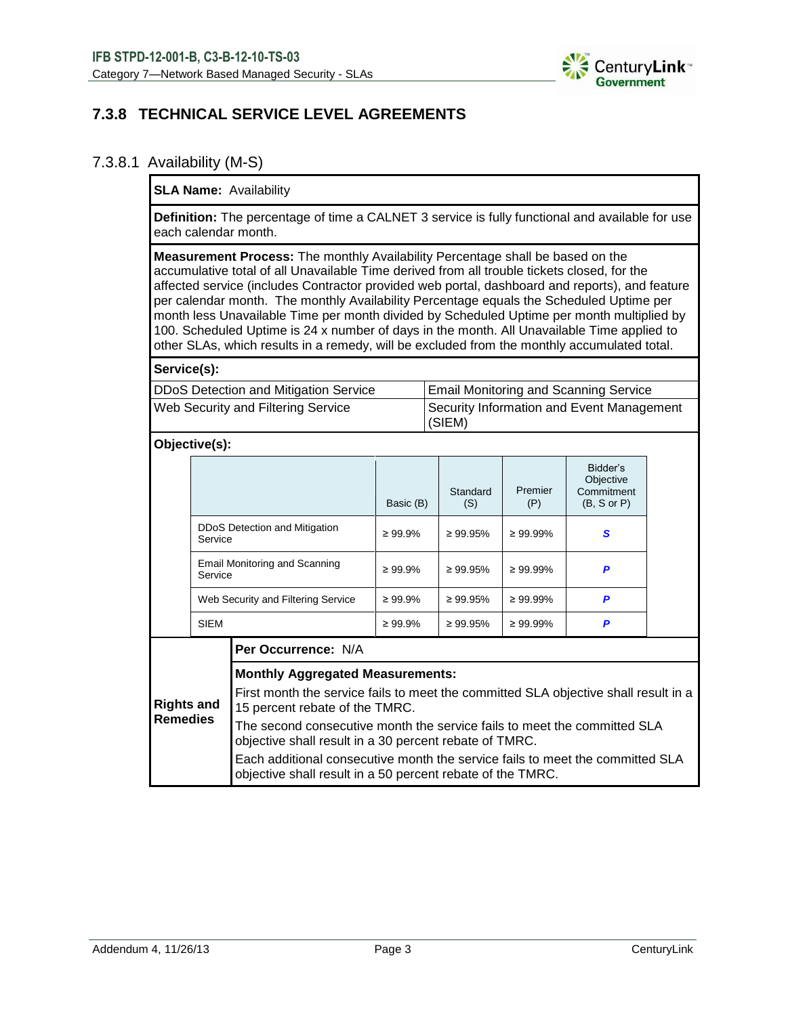

## **7.3.8 TECHNICAL SERVICE LEVEL AGREEMENTS**

### 7.3.8.1 Availability (M-S)

### **SLA Name:** Availability

**Definition:** The percentage of time a CALNET 3 service is fully functional and available for use each calendar month.

**Measurement Process:** The monthly Availability Percentage shall be based on the accumulative total of all Unavailable Time derived from all trouble tickets closed, for the affected service (includes Contractor provided web portal, dashboard and reports), and feature per calendar month. The monthly Availability Percentage equals the Scheduled Uptime per month less Unavailable Time per month divided by Scheduled Uptime per month multiplied by 100. Scheduled Uptime is 24 x number of days in the month. All Unavailable Time applied to other SLAs, which results in a remedy, will be excluded from the monthly accumulated total.

**Service(s):**

| DDoS Detection and Mitigation Service | <b>Email Monitoring and Scanning Service</b>            |
|---------------------------------------|---------------------------------------------------------|
| Web Security and Filtering Service    | Security Information and Event Management<br>$ $ (SIEM) |

#### **Objective(s):**

|                                          | Basic (B)     | Standard<br>(S) | Premier<br>(P) | Bidder's<br>Objective<br>Commitment<br>$(B, S \text{ or } P)$ |
|------------------------------------------|---------------|-----------------|----------------|---------------------------------------------------------------|
| DDoS Detection and Mitigation<br>Service | $\geq 99.9\%$ | $\geq 99.95\%$  | $\geq 99.99\%$ | S                                                             |
| Email Monitoring and Scanning<br>Service | $\geq 99.9\%$ | $\geq 99.95\%$  | $\geq 99.99\%$ | P                                                             |
| Web Security and Filtering Service       | $\geq 99.9\%$ | $\geq 99.95\%$  | $\geq 99.99\%$ | P                                                             |
| <b>SIEM</b>                              | $\geq 99.9\%$ | $\geq 99.95\%$  | $\geq 99.99\%$ | P                                                             |
| Per Occurrence: N/A                      |               |                 |                |                                                               |

#### **Monthly Aggregated Measurements:**

**Rights and Remedies** First month the service fails to meet the committed SLA objective shall result in a 15 percent rebate of the TMRC. The second consecutive month the service fails to meet the committed SLA objective shall result in a 30 percent rebate of TMRC. Each additional consecutive month the service fails to meet the committed SLA objective shall result in a 50 percent rebate of the TMRC.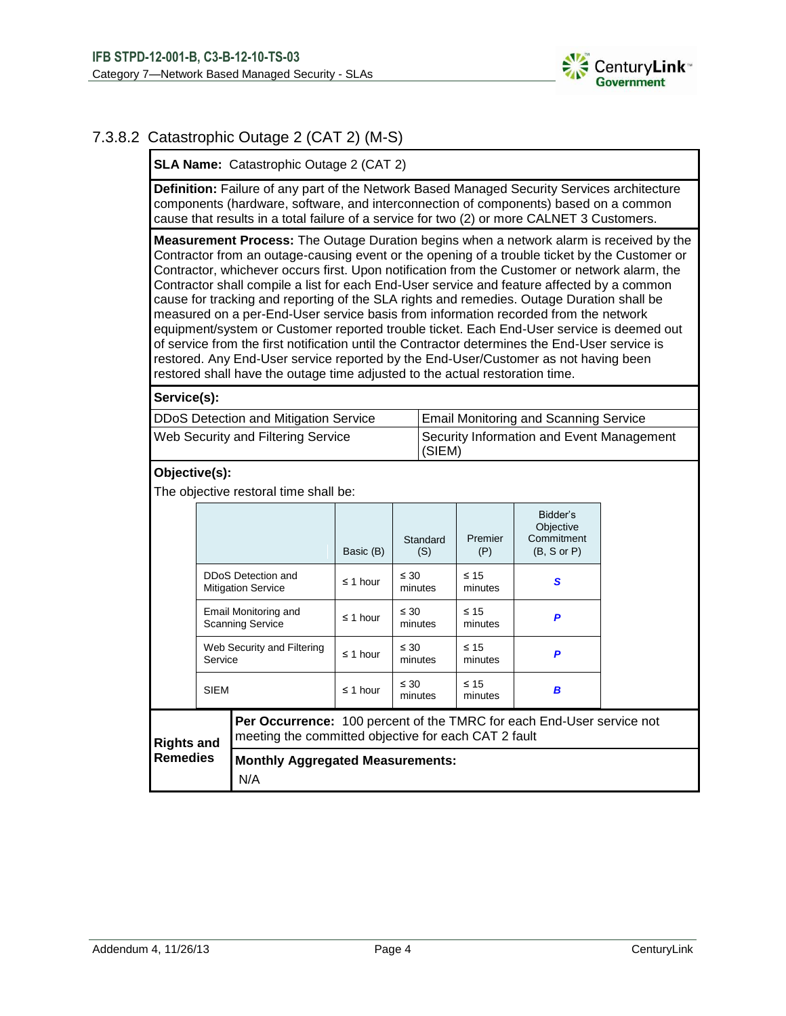

## 7.3.8.2 Catastrophic Outage 2 (CAT 2) (M-S)

**SLA Name:** Catastrophic Outage 2 (CAT 2)

**Definition:** Failure of any part of the Network Based Managed Security Services architecture components (hardware, software, and interconnection of components) based on a common cause that results in a total failure of a service for two (2) or more CALNET 3 Customers.

**Measurement Process:** The Outage Duration begins when a network alarm is received by the Contractor from an outage-causing event or the opening of a trouble ticket by the Customer or Contractor, whichever occurs first. Upon notification from the Customer or network alarm, the Contractor shall compile a list for each End-User service and feature affected by a common cause for tracking and reporting of the SLA rights and remedies. Outage Duration shall be measured on a per-End-User service basis from information recorded from the network equipment/system or Customer reported trouble ticket. Each End-User service is deemed out of service from the first notification until the Contractor determines the End-User service is restored. Any End-User service reported by the End-User/Customer as not having been restored shall have the outage time adjusted to the actual restoration time.

**Service(s):**

| DDoS Detection and Mitigation Service     | Email Monitoring and Scanning Service               |
|-------------------------------------------|-----------------------------------------------------|
| <b>Web Security and Filtering Service</b> | Security Information and Event Management<br>(SIEM) |

## **Objective(s):**

The objective restoral time shall be:

|                   |                                                 |                                                                                                                               | Basic (B)     | Standard<br>(S)      | Premier<br>(P)       | Bidder's<br>Objective<br>Commitment<br>$(B, S \text{ or } P)$ |  |
|-------------------|-------------------------------------------------|-------------------------------------------------------------------------------------------------------------------------------|---------------|----------------------|----------------------|---------------------------------------------------------------|--|
|                   | DDoS Detection and<br><b>Mitigation Service</b> |                                                                                                                               | $\leq$ 1 hour | $\leq 30$<br>minutes | $\leq 15$<br>minutes | S                                                             |  |
|                   | Email Monitoring and<br><b>Scanning Service</b> |                                                                                                                               | $\leq$ 1 hour | $\leq 30$<br>minutes | $\leq 15$<br>minutes | P                                                             |  |
| Service           |                                                 | Web Security and Filtering                                                                                                    | $\leq$ 1 hour | $\leq 30$<br>minutes | $\leq 15$<br>minutes | P                                                             |  |
|                   | <b>SIEM</b>                                     |                                                                                                                               | $\leq$ 1 hour | $\leq 30$<br>minutes | $\leq 15$<br>minutes | B                                                             |  |
| <b>Rights and</b> |                                                 | Per Occurrence: 100 percent of the TMRC for each End-User service not<br>meeting the committed objective for each CAT 2 fault |               |                      |                      |                                                               |  |
| <b>Remedies</b>   |                                                 | <b>Monthly Aggregated Measurements:</b><br>N/A                                                                                |               |                      |                      |                                                               |  |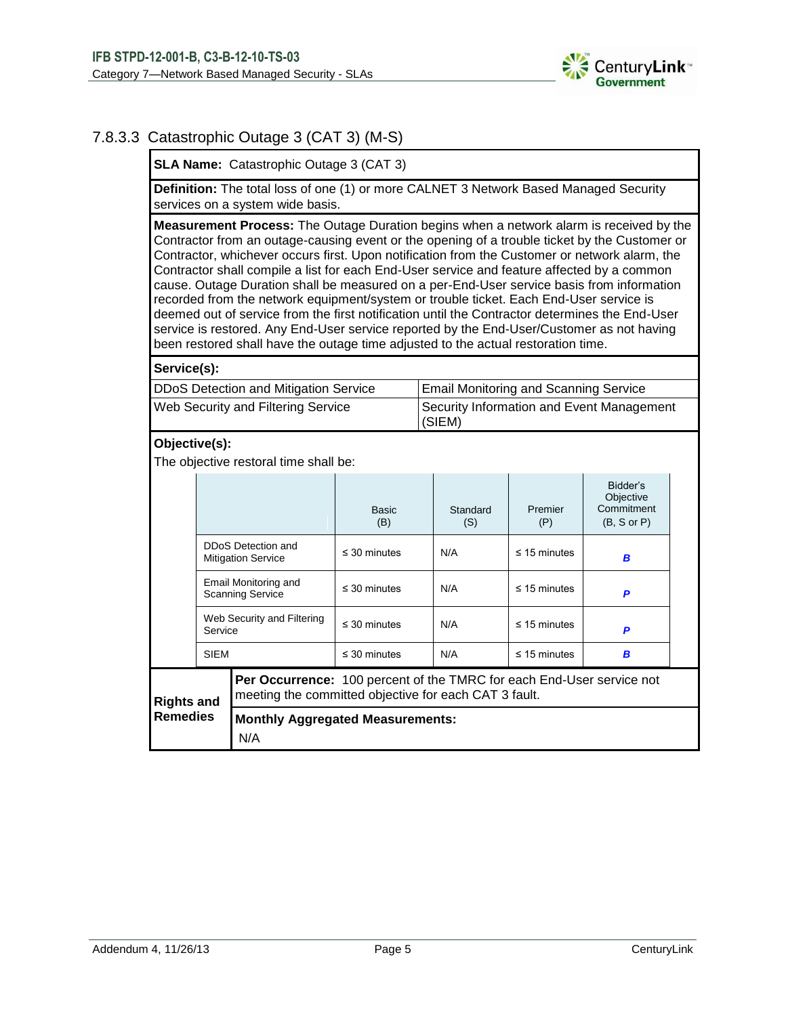

## 7.8.3.3 Catastrophic Outage 3 (CAT 3) (M-S)

**SLA Name:** Catastrophic Outage 3 (CAT 3)

**Definition:** The total loss of one (1) or more CALNET 3 Network Based Managed Security services on a system wide basis.

**Measurement Process:** The Outage Duration begins when a network alarm is received by the Contractor from an outage-causing event or the opening of a trouble ticket by the Customer or Contractor, whichever occurs first. Upon notification from the Customer or network alarm, the Contractor shall compile a list for each End-User service and feature affected by a common cause. Outage Duration shall be measured on a per-End-User service basis from information recorded from the network equipment/system or trouble ticket. Each End-User service is deemed out of service from the first notification until the Contractor determines the End-User service is restored. Any End-User service reported by the End-User/Customer as not having been restored shall have the outage time adjusted to the actual restoration time.

#### **Service(s):**

| DDoS Detection and Mitigation Service     | <b>Email Monitoring and Scanning Service</b>        |
|-------------------------------------------|-----------------------------------------------------|
| <b>Web Security and Filtering Service</b> | Security Information and Event Management<br>(SIEM) |

#### **Objective(s):**

The objective restoral time shall be:

| DDoS Detection and<br><b>Mitigation Service</b> |                                                                                                         |                                                                                                                                | Basic<br>(B)      | Standard<br>(S)   | Premier<br>(P)    | Bidder's<br>Objective<br>Commitment<br>$(B, S \text{ or } P)$ |  |
|-------------------------------------------------|---------------------------------------------------------------------------------------------------------|--------------------------------------------------------------------------------------------------------------------------------|-------------------|-------------------|-------------------|---------------------------------------------------------------|--|
|                                                 |                                                                                                         | $\leq$ 30 minutes                                                                                                              | N/A               | $\leq$ 15 minutes | B                 |                                                               |  |
|                                                 | Email Monitoring and<br><b>Scanning Service</b><br>Web Security and Filtering<br>Service<br><b>SIEM</b> |                                                                                                                                | $\leq$ 30 minutes | N/A               | $\leq$ 15 minutes | P                                                             |  |
|                                                 |                                                                                                         |                                                                                                                                | $\leq$ 30 minutes | N/A               | $\leq$ 15 minutes | P                                                             |  |
|                                                 |                                                                                                         |                                                                                                                                | $\leq$ 30 minutes | N/A               | $\leq$ 15 minutes | B                                                             |  |
| <b>Rights and</b>                               |                                                                                                         | Per Occurrence: 100 percent of the TMRC for each End-User service not<br>meeting the committed objective for each CAT 3 fault. |                   |                   |                   |                                                               |  |
| <b>Remedies</b>                                 |                                                                                                         | <b>Monthly Aggregated Measurements:</b><br>N/A                                                                                 |                   |                   |                   |                                                               |  |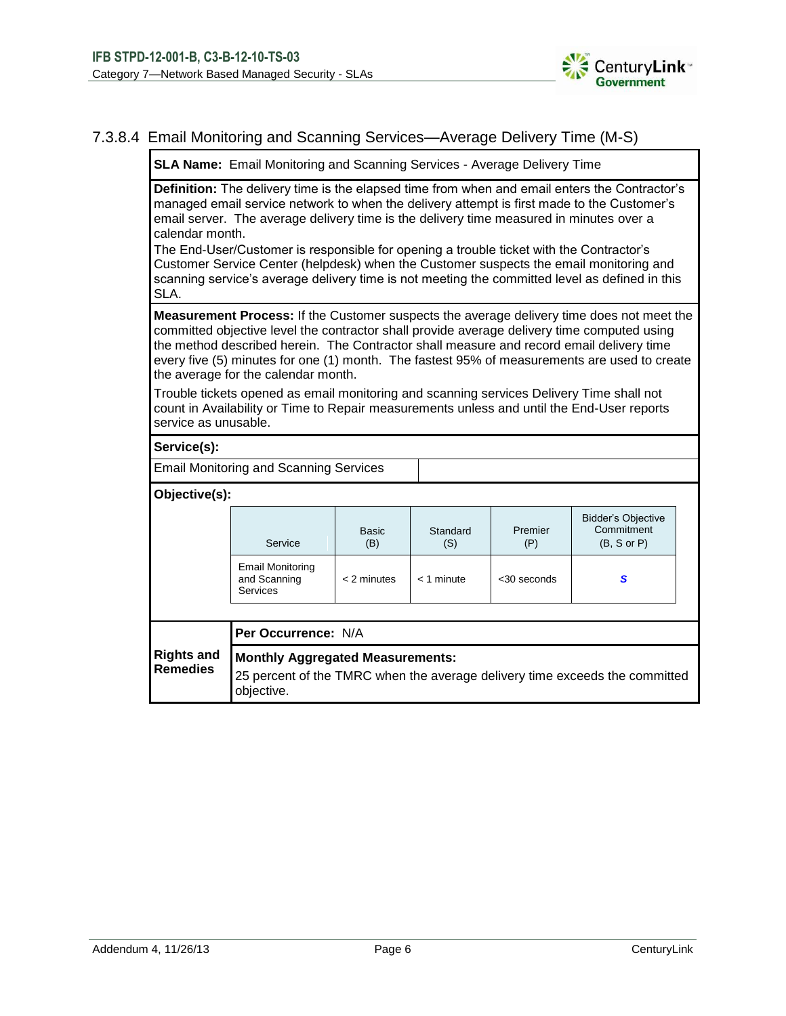

## 7.3.8.4 Email Monitoring and Scanning Services—Average Delivery Time (M-S)

**SLA Name:** Email Monitoring and Scanning Services - Average Delivery Time

**Definition:** The delivery time is the elapsed time from when and email enters the Contractor's managed email service network to when the delivery attempt is first made to the Customer's email server. The average delivery time is the delivery time measured in minutes over a calendar month.

The End-User/Customer is responsible for opening a trouble ticket with the Contractor's Customer Service Center (helpdesk) when the Customer suspects the email monitoring and scanning service's average delivery time is not meeting the committed level as defined in this SLA.

**Measurement Process:** If the Customer suspects the average delivery time does not meet the committed objective level the contractor shall provide average delivery time computed using the method described herein. The Contractor shall measure and record email delivery time every five (5) minutes for one (1) month. The fastest 95% of measurements are used to create the average for the calendar month.

Trouble tickets opened as email monitoring and scanning services Delivery Time shall not count in Availability or Time to Repair measurements unless and until the End-User reports service as unusable.

#### **Service(s):**

Email Monitoring and Scanning Services

**Objective(s):**

| Per Occurrence: N/A                                        |                     |                 |                |                                                                   |  |  |
|------------------------------------------------------------|---------------------|-----------------|----------------|-------------------------------------------------------------------|--|--|
| <b>Email Monitoring</b><br>and Scanning<br><b>Services</b> | $<$ 2 minutes       | $<$ 1 minute    | $<$ 30 seconds | S                                                                 |  |  |
| Service                                                    | <b>Basic</b><br>(B) | Standard<br>(S) | Premier<br>(P) | <b>Bidder's Objective</b><br>Commitment<br>$(B, S \text{ or } P)$ |  |  |

**Remedies** 25 percent of the TMRC when the average delivery time exceeds the committed objective.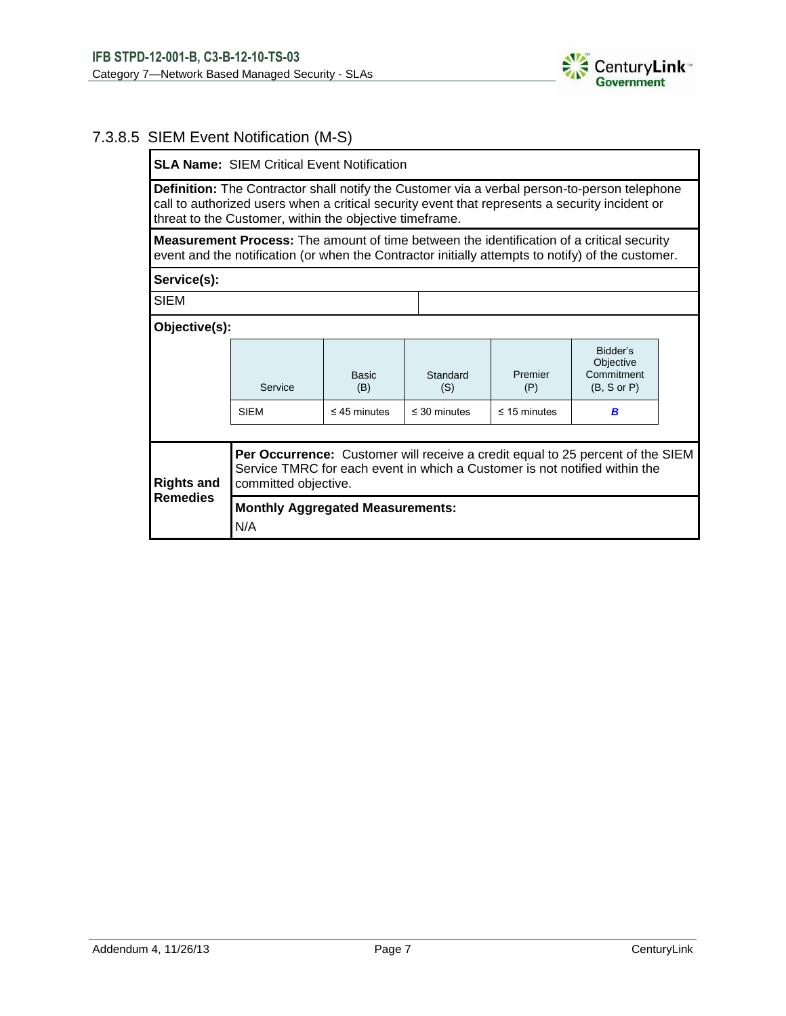

## 7.3.8.5 SIEM Event Notification (M-S)

**SLA Name:** SIEM Critical Event Notification

**Definition:** The Contractor shall notify the Customer via a verbal person-to-person telephone call to authorized users when a critical security event that represents a security incident or threat to the Customer, within the objective timeframe.

**Measurement Process:** The amount of time between the identification of a critical security event and the notification (or when the Contractor initially attempts to notify) of the customer.

**Service(s):**

SIEM

| Objective(s):     |                                                                                                                                                                                             |                     |                   |                   |                                                               |  |  |  |
|-------------------|---------------------------------------------------------------------------------------------------------------------------------------------------------------------------------------------|---------------------|-------------------|-------------------|---------------------------------------------------------------|--|--|--|
|                   | Service                                                                                                                                                                                     | <b>Basic</b><br>(B) | Standard<br>(S)   | Premier<br>(P)    | Bidder's<br>Objective<br>Commitment<br>$(B, S \text{ or } P)$ |  |  |  |
|                   | <b>SIEM</b>                                                                                                                                                                                 | $\leq$ 45 minutes   | $\leq$ 30 minutes | $\leq$ 15 minutes | в                                                             |  |  |  |
|                   |                                                                                                                                                                                             |                     |                   |                   |                                                               |  |  |  |
| <b>Rights and</b> | <b>Per Occurrence:</b> Customer will receive a credit equal to 25 percent of the SIEM<br>Service TMRC for each event in which a Customer is not notified within the<br>committed objective. |                     |                   |                   |                                                               |  |  |  |
| <b>Remedies</b>   | <b>Monthly Aggregated Measurements:</b><br>N/A                                                                                                                                              |                     |                   |                   |                                                               |  |  |  |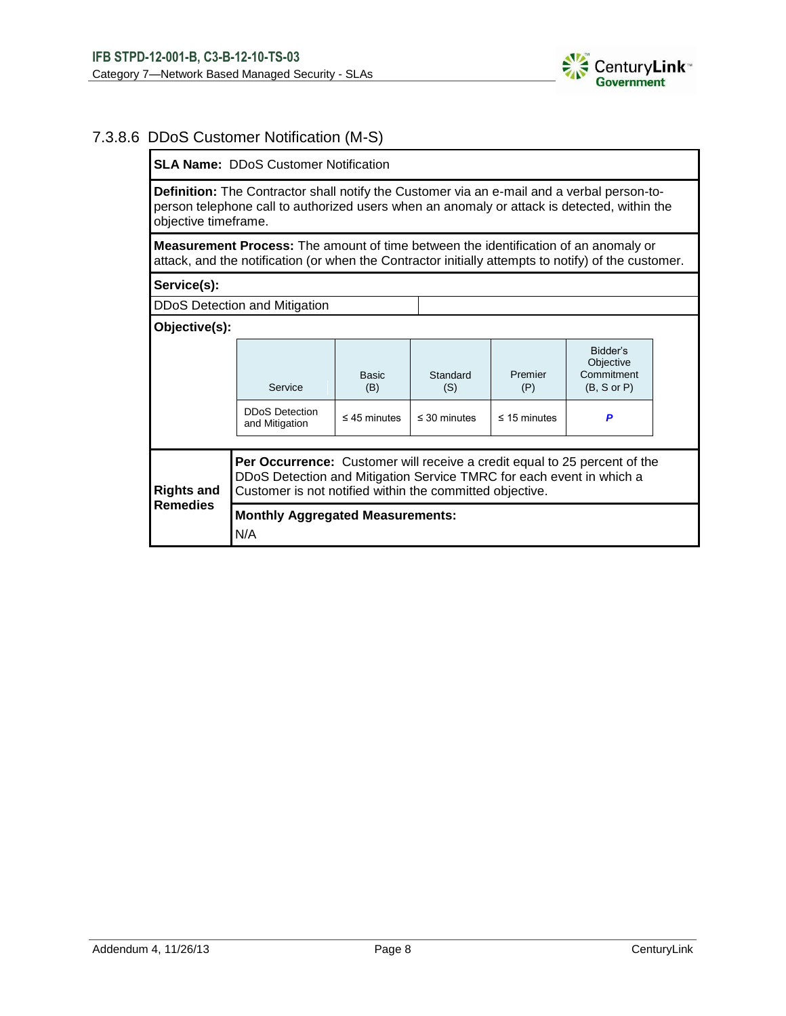

### 7.3.8.6 DDoS Customer Notification (M-S)

**SLA Name:** DDoS Customer Notification

**Definition:** The Contractor shall notify the Customer via an e-mail and a verbal person-toperson telephone call to authorized users when an anomaly or attack is detected, within the objective timeframe.

**Measurement Process:** The amount of time between the identification of an anomaly or attack, and the notification (or when the Contractor initially attempts to notify) of the customer.

#### **Service(s):**

DDoS Detection and Mitigation

| Objective(s):     |                                                                                                                                                                                                                      |                     |                   |                   |                                                    |  |
|-------------------|----------------------------------------------------------------------------------------------------------------------------------------------------------------------------------------------------------------------|---------------------|-------------------|-------------------|----------------------------------------------------|--|
|                   | Service                                                                                                                                                                                                              | <b>Basic</b><br>(B) | Standard<br>(S)   | Premier<br>(P)    | Bidder's<br>Objective<br>Commitment<br>(B, S or P) |  |
|                   | <b>DDoS Detection</b><br>and Mitigation                                                                                                                                                                              | $\leq$ 45 minutes   | $\leq$ 30 minutes | $\leq$ 15 minutes | P                                                  |  |
| <b>Rights and</b> | <b>Per Occurrence:</b> Customer will receive a credit equal to 25 percent of the<br>DDoS Detection and Mitigation Service TMRC for each event in which a<br>Customer is not notified within the committed objective. |                     |                   |                   |                                                    |  |
| <b>Remedies</b>   | <b>Monthly Aggregated Measurements:</b><br>N/A                                                                                                                                                                       |                     |                   |                   |                                                    |  |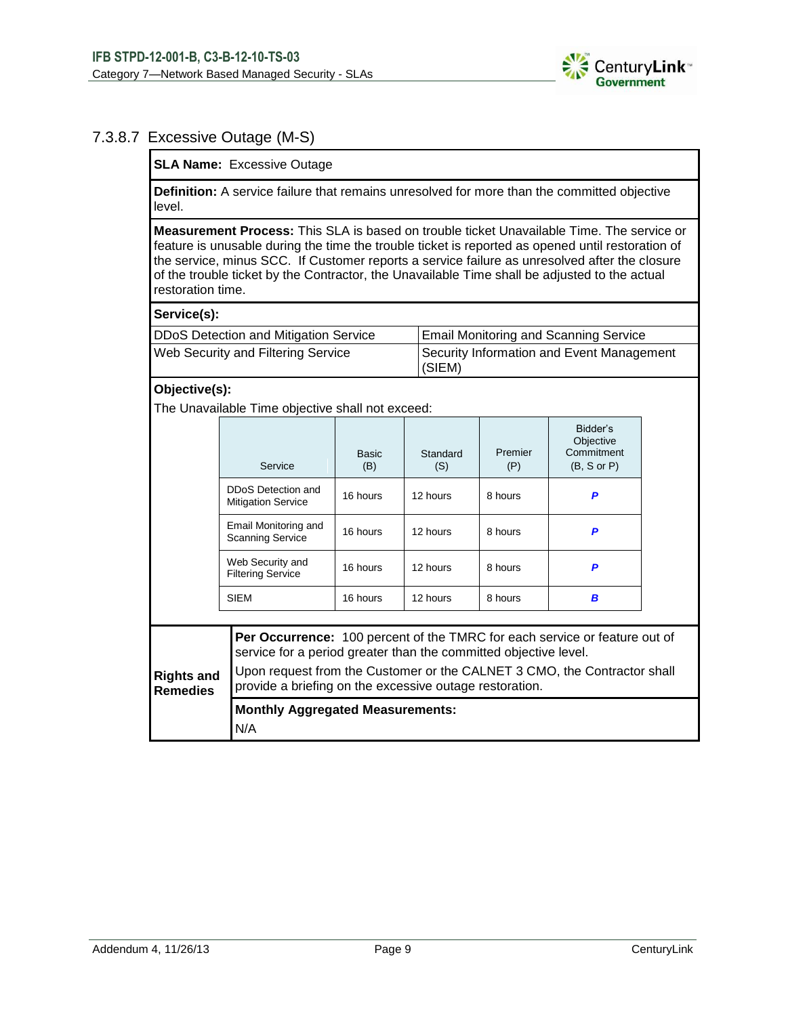

## 7.3.8.7 Excessive Outage (M-S)

**SLA Name:** Excessive Outage

**Definition:** A service failure that remains unresolved for more than the committed objective level.

**Measurement Process:** This SLA is based on trouble ticket Unavailable Time. The service or feature is unusable during the time the trouble ticket is reported as opened until restoration of the service, minus SCC. If Customer reports a service failure as unresolved after the closure of the trouble ticket by the Contractor, the Unavailable Time shall be adjusted to the actual restoration time.

#### **Service(s):**

| DDoS Detection and Mitigation Service     | <b>Email Monitoring and Scanning Service</b>        |
|-------------------------------------------|-----------------------------------------------------|
| <b>Web Security and Filtering Service</b> | Security Information and Event Management<br>(SIEM) |

### **Objective(s):**

The Unavailable Time objective shall not exceed:

|                                                                                                                                                                                                                                                                                                                               | Service                                         | Basic<br>(B) | Standard<br>(S) | Premier<br>(P) | Bidder's<br>Objective<br>Commitment<br>(B, S or P) |  |  |  |  |
|-------------------------------------------------------------------------------------------------------------------------------------------------------------------------------------------------------------------------------------------------------------------------------------------------------------------------------|-------------------------------------------------|--------------|-----------------|----------------|----------------------------------------------------|--|--|--|--|
|                                                                                                                                                                                                                                                                                                                               | DDoS Detection and<br><b>Mitigation Service</b> | 16 hours     | 12 hours        | 8 hours        | P                                                  |  |  |  |  |
|                                                                                                                                                                                                                                                                                                                               | Email Monitoring and<br><b>Scanning Service</b> | 16 hours     | 12 hours        | 8 hours        | P                                                  |  |  |  |  |
|                                                                                                                                                                                                                                                                                                                               | Web Security and<br><b>Filtering Service</b>    | 16 hours     | 12 hours        | 8 hours        | P                                                  |  |  |  |  |
|                                                                                                                                                                                                                                                                                                                               | <b>SIEM</b>                                     | 16 hours     | 12 hours        | 8 hours        | B                                                  |  |  |  |  |
| Per Occurrence: 100 percent of the TMRC for each service or feature out of<br>service for a period greater than the committed objective level.<br>Upon request from the Customer or the CALNET 3 CMO, the Contractor shall<br><b>Rights and</b><br>provide a briefing on the excessive outage restoration.<br><b>Remedies</b> |                                                 |              |                 |                |                                                    |  |  |  |  |
|                                                                                                                                                                                                                                                                                                                               | <b>Monthly Aggregated Measurements:</b><br>N/A  |              |                 |                |                                                    |  |  |  |  |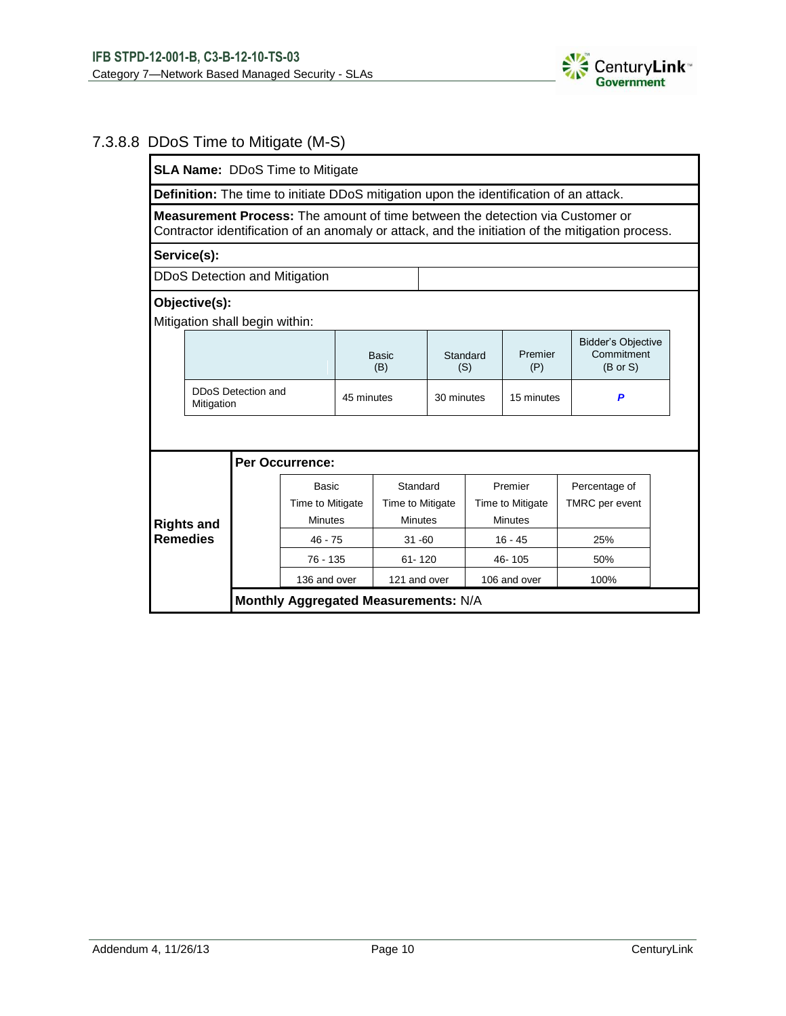

## 7.3.8.8 DDoS Time to Mitigate (M-S)

| <b>SLA Name: DDoS Time to Mitigate</b>                                                                                                                                                   |  |                                      |                                             |              |                                         |                 |                                               |                |                                                                                               |  |
|------------------------------------------------------------------------------------------------------------------------------------------------------------------------------------------|--|--------------------------------------|---------------------------------------------|--------------|-----------------------------------------|-----------------|-----------------------------------------------|----------------|-----------------------------------------------------------------------------------------------|--|
|                                                                                                                                                                                          |  |                                      |                                             |              |                                         |                 |                                               |                | <b>Definition:</b> The time to initiate DDoS mitigation upon the identification of an attack. |  |
| <b>Measurement Process:</b> The amount of time between the detection via Customer or<br>Contractor identification of an anomaly or attack, and the initiation of the mitigation process. |  |                                      |                                             |              |                                         |                 |                                               |                |                                                                                               |  |
| Service(s):                                                                                                                                                                              |  |                                      |                                             |              |                                         |                 |                                               |                |                                                                                               |  |
| <b>DDoS Detection and Mitigation</b>                                                                                                                                                     |  |                                      |                                             |              |                                         |                 |                                               |                |                                                                                               |  |
| Objective(s):                                                                                                                                                                            |  |                                      |                                             |              |                                         |                 |                                               |                |                                                                                               |  |
|                                                                                                                                                                                          |  | Mitigation shall begin within:       |                                             |              |                                         |                 |                                               |                |                                                                                               |  |
|                                                                                                                                                                                          |  |                                      |                                             | Basic<br>(B) |                                         | Standard<br>(S) |                                               | Premier<br>(P) | <b>Bidder's Objective</b><br>Commitment<br>$(B \text{ or } S)$                                |  |
| DDoS Detection and<br>Mitigation                                                                                                                                                         |  |                                      | 45 minutes                                  |              | 30 minutes                              |                 | 15 minutes                                    | P              |                                                                                               |  |
|                                                                                                                                                                                          |  |                                      |                                             |              |                                         |                 |                                               |                |                                                                                               |  |
|                                                                                                                                                                                          |  |                                      | Per Occurrence:                             |              |                                         |                 |                                               |                |                                                                                               |  |
| <b>Rights and</b><br><b>Remedies</b>                                                                                                                                                     |  |                                      | <b>Basic</b><br>Time to Mitigate<br>Minutes |              | Standard<br>Time to Mitigate<br>Minutes |                 | Premier<br>Time to Mitigate<br><b>Minutes</b> |                | Percentage of<br><b>TMRC</b> per event                                                        |  |
|                                                                                                                                                                                          |  |                                      | $46 - 75$                                   |              | $31 - 60$                               |                 | $16 - 45$                                     |                | 25%                                                                                           |  |
|                                                                                                                                                                                          |  |                                      | $76 - 135$                                  |              | $61 - 120$                              |                 | 46-105                                        |                | 50%                                                                                           |  |
|                                                                                                                                                                                          |  |                                      | 136 and over                                |              | 121 and over                            | 106 and over    |                                               |                | 100%                                                                                          |  |
|                                                                                                                                                                                          |  | Monthly Aggregated Measurements: N/A |                                             |              |                                         |                 |                                               |                |                                                                                               |  |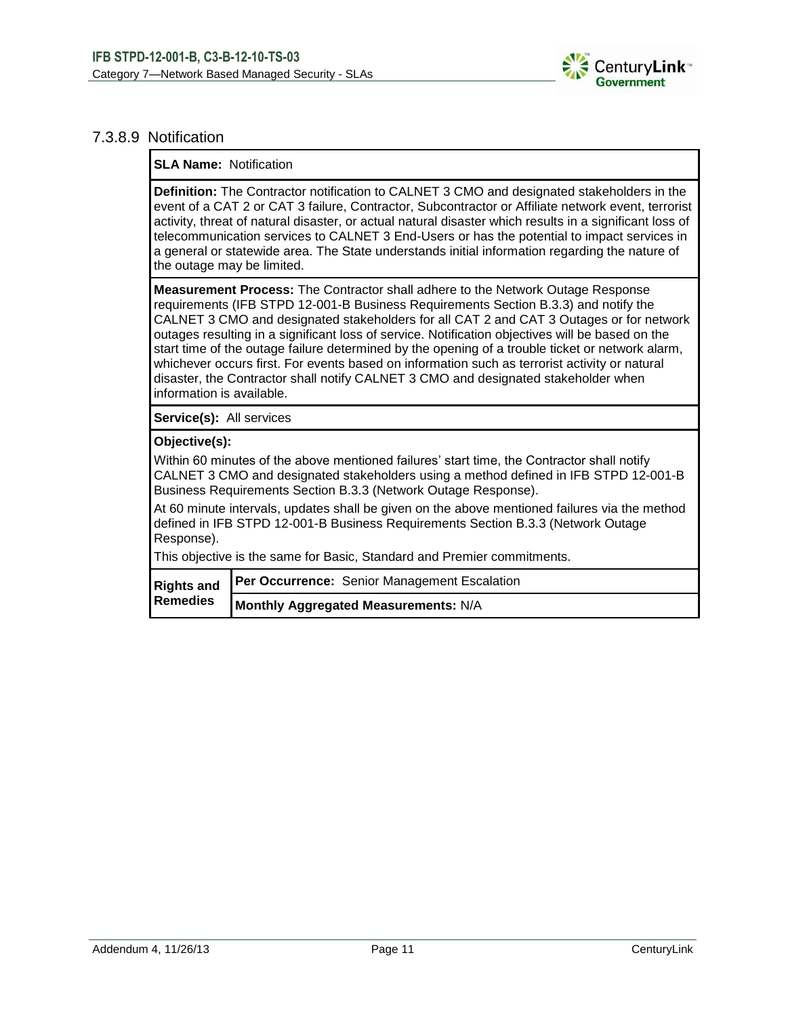

#### 7.3.8.9 Notification

**SLA Name:** Notification

**Definition:** The Contractor notification to CALNET 3 CMO and designated stakeholders in the event of a CAT 2 or CAT 3 failure, Contractor, Subcontractor or Affiliate network event, terrorist activity, threat of natural disaster, or actual natural disaster which results in a significant loss of telecommunication services to CALNET 3 End-Users or has the potential to impact services in a general or statewide area. The State understands initial information regarding the nature of the outage may be limited.

**Measurement Process:** The Contractor shall adhere to the Network Outage Response requirements (IFB STPD 12-001-B Business Requirements Section B.3.3) and notify the CALNET 3 CMO and designated stakeholders for all CAT 2 and CAT 3 Outages or for network outages resulting in a significant loss of service. Notification objectives will be based on the start time of the outage failure determined by the opening of a trouble ticket or network alarm, whichever occurs first. For events based on information such as terrorist activity or natural disaster, the Contractor shall notify CALNET 3 CMO and designated stakeholder when information is available.

**Service(s):** All services

#### **Objective(s):**

Within 60 minutes of the above mentioned failures' start time, the Contractor shall notify CALNET 3 CMO and designated stakeholders using a method defined in IFB STPD 12-001-B Business Requirements Section B.3.3 (Network Outage Response).

At 60 minute intervals, updates shall be given on the above mentioned failures via the method defined in IFB STPD 12-001-B Business Requirements Section B.3.3 (Network Outage Response).

This objective is the same for Basic, Standard and Premier commitments.

| <b>Remedies</b> | Rights and Per Occurrence: Senior Management Escalation |
|-----------------|---------------------------------------------------------|
|                 | Monthly Aggregated Measurements: N/A                    |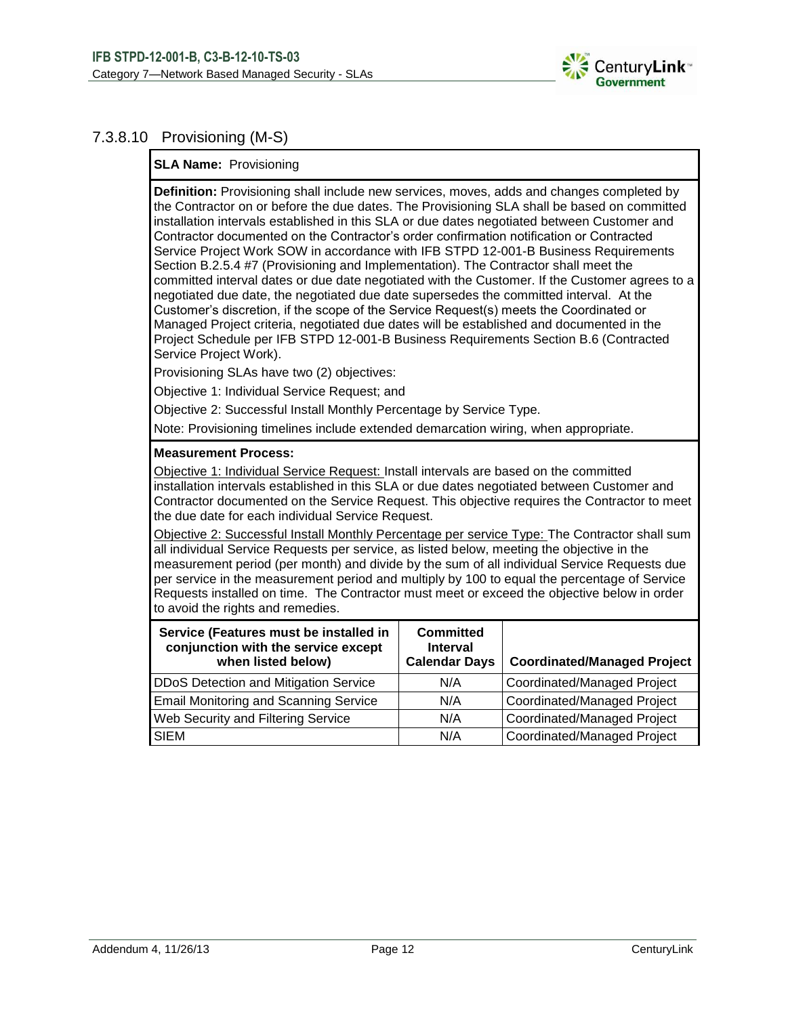

### 7.3.8.10 Provisioning (M-S)

#### **SLA Name:** Provisioning

**Definition:** Provisioning shall include new services, moves, adds and changes completed by the Contractor on or before the due dates. The Provisioning SLA shall be based on committed installation intervals established in this SLA or due dates negotiated between Customer and Contractor documented on the Contractor's order confirmation notification or Contracted Service Project Work SOW in accordance with IFB STPD 12-001-B Business Requirements Section B.2.5.4 #7 (Provisioning and Implementation). The Contractor shall meet the committed interval dates or due date negotiated with the Customer. If the Customer agrees to a negotiated due date, the negotiated due date supersedes the committed interval. At the Customer's discretion, if the scope of the Service Request(s) meets the Coordinated or Managed Project criteria, negotiated due dates will be established and documented in the Project Schedule per IFB STPD 12-001-B Business Requirements Section B.6 (Contracted Service Project Work).

Provisioning SLAs have two (2) objectives:

Objective 1: Individual Service Request; and

Objective 2: Successful Install Monthly Percentage by Service Type.

Note: Provisioning timelines include extended demarcation wiring, when appropriate.

#### **Measurement Process:**

Objective 1: Individual Service Request: Install intervals are based on the committed installation intervals established in this SLA or due dates negotiated between Customer and Contractor documented on the Service Request. This objective requires the Contractor to meet the due date for each individual Service Request.

Objective 2: Successful Install Monthly Percentage per service Type: The Contractor shall sum all individual Service Requests per service, as listed below, meeting the objective in the measurement period (per month) and divide by the sum of all individual Service Requests due per service in the measurement period and multiply by 100 to equal the percentage of Service Requests installed on time. The Contractor must meet or exceed the objective below in order to avoid the rights and remedies.

| Service (Features must be installed in<br>conjunction with the service except<br>when listed below) | <b>Committed</b><br><b>Interval</b><br><b>Calendar Days</b> | <b>Coordinated/Managed Project</b> |
|-----------------------------------------------------------------------------------------------------|-------------------------------------------------------------|------------------------------------|
| DDoS Detection and Mitigation Service                                                               | N/A                                                         | Coordinated/Managed Project        |
| <b>Email Monitoring and Scanning Service</b>                                                        | N/A                                                         | <b>Coordinated/Managed Project</b> |
| Web Security and Filtering Service                                                                  | N/A                                                         | <b>Coordinated/Managed Project</b> |
| <b>SIEM</b>                                                                                         | N/A                                                         | <b>Coordinated/Managed Project</b> |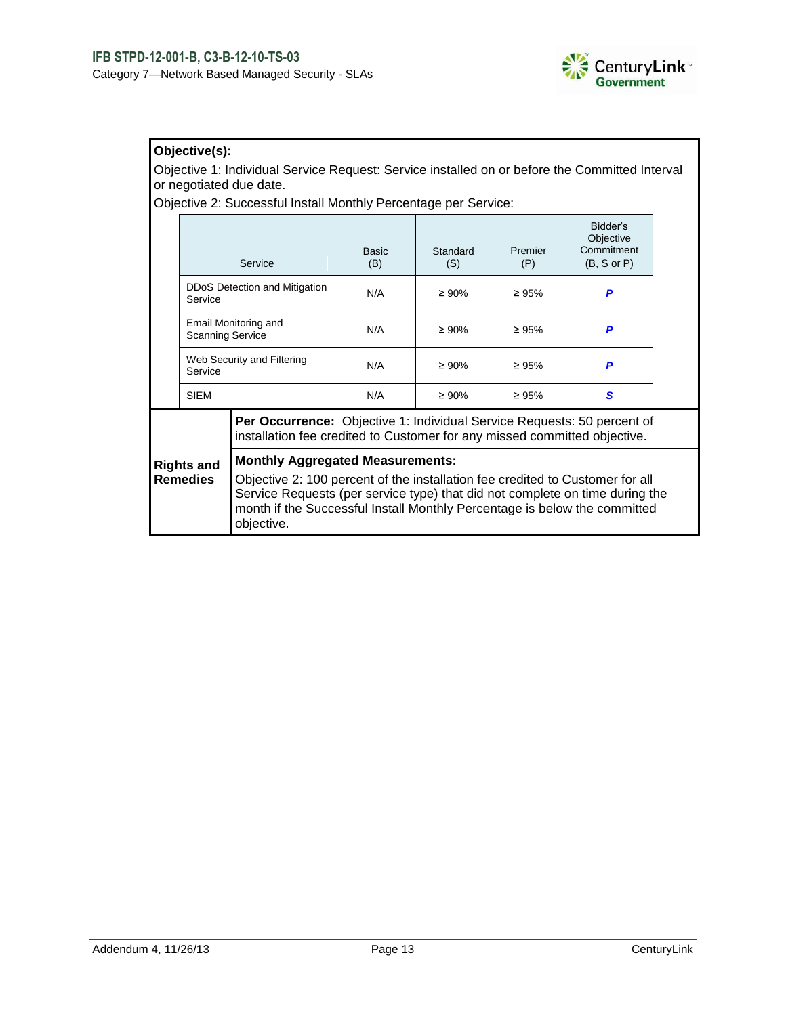

## **Objective(s):**

Objective 1: Individual Service Request: Service installed on or before the Committed Interval or negotiated due date.

Objective 2: Successful Install Monthly Percentage per Service:

|                                      | Service                               |                                                                                                                                                                                                                                                                                                     | <b>Basic</b><br>(B) | Standard<br>(S) |             | Bidder's<br>Objective<br>Commitment<br>$(B, S \text{ or } P)$ |  |  |  |  |
|--------------------------------------|---------------------------------------|-----------------------------------------------------------------------------------------------------------------------------------------------------------------------------------------------------------------------------------------------------------------------------------------------------|---------------------|-----------------|-------------|---------------------------------------------------------------|--|--|--|--|
|                                      | Service                               | DDoS Detection and Mitigation                                                                                                                                                                                                                                                                       | N/A                 | $\geq 90\%$     | $\geq 95\%$ | P                                                             |  |  |  |  |
|                                      | <b>Scanning Service</b>               | Email Monitoring and                                                                                                                                                                                                                                                                                | N/A                 | $\geq 90\%$     | $\geq 95\%$ | P                                                             |  |  |  |  |
|                                      | Web Security and Filtering<br>Service |                                                                                                                                                                                                                                                                                                     | N/A                 | $\geq 90\%$     | $\geq 95\%$ | P                                                             |  |  |  |  |
|                                      | <b>SIEM</b>                           |                                                                                                                                                                                                                                                                                                     | N/A                 | $\geq 90\%$     | $\geq 95\%$ | S                                                             |  |  |  |  |
| <b>Rights and</b><br><b>Remedies</b> |                                       | <b>Per Occurrence:</b> Objective 1: Individual Service Requests: 50 percent of<br>installation fee credited to Customer for any missed committed objective.                                                                                                                                         |                     |                 |             |                                                               |  |  |  |  |
|                                      |                                       | <b>Monthly Aggregated Measurements:</b><br>Objective 2: 100 percent of the installation fee credited to Customer for all<br>Service Requests (per service type) that did not complete on time during the<br>month if the Successful Install Monthly Percentage is below the committed<br>objective. |                     |                 |             |                                                               |  |  |  |  |